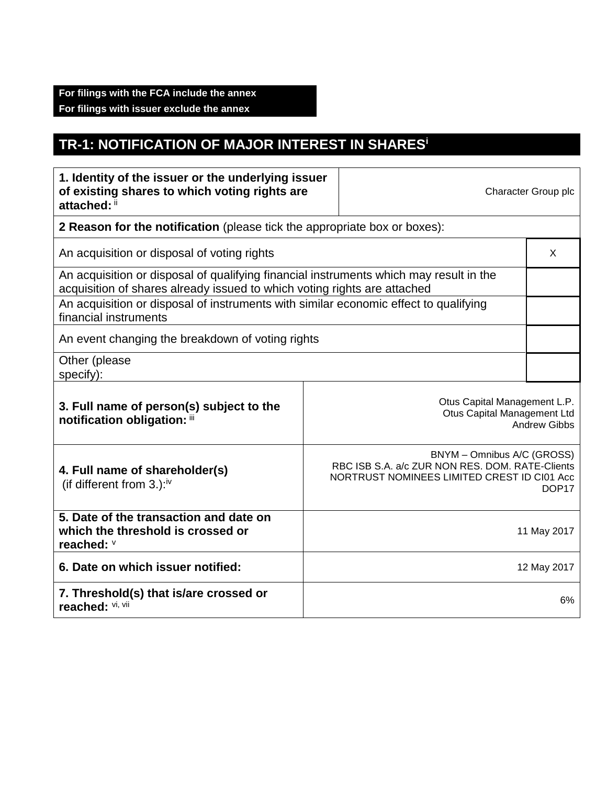## **TR-1: NOTIFICATION OF MAJOR INTEREST IN SHARES<sup>i</sup>**

| 1. Identity of the issuer or the underlying issuer<br>of existing shares to which voting rights are<br>attached: ii                                                |                                                                                                                                                   | Character Group plc |  |  |  |
|--------------------------------------------------------------------------------------------------------------------------------------------------------------------|---------------------------------------------------------------------------------------------------------------------------------------------------|---------------------|--|--|--|
| 2 Reason for the notification (please tick the appropriate box or boxes):                                                                                          |                                                                                                                                                   |                     |  |  |  |
| An acquisition or disposal of voting rights                                                                                                                        |                                                                                                                                                   |                     |  |  |  |
| An acquisition or disposal of qualifying financial instruments which may result in the<br>acquisition of shares already issued to which voting rights are attached |                                                                                                                                                   |                     |  |  |  |
| An acquisition or disposal of instruments with similar economic effect to qualifying<br>financial instruments                                                      |                                                                                                                                                   |                     |  |  |  |
| An event changing the breakdown of voting rights                                                                                                                   |                                                                                                                                                   |                     |  |  |  |
| Other (please<br>specify):                                                                                                                                         |                                                                                                                                                   |                     |  |  |  |
| 3. Full name of person(s) subject to the<br>notification obligation: iii                                                                                           | Otus Capital Management L.P.<br>Otus Capital Management Ltd<br><b>Andrew Gibbs</b>                                                                |                     |  |  |  |
| 4. Full name of shareholder(s)<br>(if different from 3.): $iv$                                                                                                     | BNYM - Omnibus A/C (GROSS)<br>RBC ISB S.A. a/c ZUR NON RES. DOM. RATE-Clients<br>NORTRUST NOMINEES LIMITED CREST ID CI01 Acc<br>DOP <sub>17</sub> |                     |  |  |  |
| 5. Date of the transaction and date on<br>which the threshold is crossed or<br>reached: V                                                                          | 11 May 2017                                                                                                                                       |                     |  |  |  |
| 6. Date on which issuer notified:                                                                                                                                  | 12 May 2017                                                                                                                                       |                     |  |  |  |
| 7. Threshold(s) that is/are crossed or<br>reached: Vi, Vii                                                                                                         | 6%                                                                                                                                                |                     |  |  |  |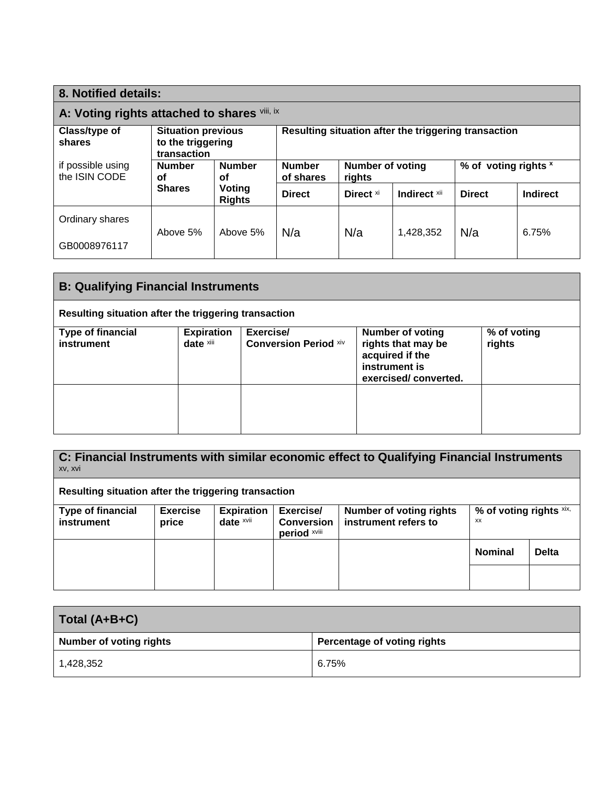| 8. Notified details:                         |                                                               |                         |                                                      |                            |              |                      |                 |
|----------------------------------------------|---------------------------------------------------------------|-------------------------|------------------------------------------------------|----------------------------|--------------|----------------------|-----------------|
| A: Voting rights attached to shares vili, ix |                                                               |                         |                                                      |                            |              |                      |                 |
| Class/type of<br>shares                      | <b>Situation previous</b><br>to the triggering<br>transaction |                         | Resulting situation after the triggering transaction |                            |              |                      |                 |
| if possible using<br>the ISIN CODE           | <b>Number</b><br><b>Number</b><br>οf<br>οf                    |                         | <b>Number</b><br>of shares                           | Number of voting<br>rights |              | % of voting rights x |                 |
|                                              | <b>Shares</b>                                                 | Voting<br><b>Rights</b> | <b>Direct</b>                                        | Direct <sup>xi</sup>       | Indirect xii | <b>Direct</b>        | <b>Indirect</b> |
| Ordinary shares                              |                                                               |                         |                                                      |                            |              |                      |                 |
| GB0008976117                                 | Above 5%                                                      | Above 5%                | N/a                                                  | N/a                        | 1,428,352    | N/a                  | 6.75%           |

| <b>B: Qualifying Financial Instruments</b>           |                                |                                           |                                                                                                           |                       |
|------------------------------------------------------|--------------------------------|-------------------------------------------|-----------------------------------------------------------------------------------------------------------|-----------------------|
| Resulting situation after the triggering transaction |                                |                                           |                                                                                                           |                       |
| Type of financial<br>instrument                      | <b>Expiration</b><br>date xili | Exercise/<br><b>Conversion Period Xiv</b> | <b>Number of voting</b><br>rights that may be<br>acquired if the<br>instrument is<br>exercised/converted. | % of voting<br>rights |
|                                                      |                                |                                           |                                                                                                           |                       |

| C: Financial Instruments with similar economic effect to Qualifying Financial Instruments<br>xv, xvi |                 |                   |                                   |                                |                         |              |
|------------------------------------------------------------------------------------------------------|-----------------|-------------------|-----------------------------------|--------------------------------|-------------------------|--------------|
| Resulting situation after the triggering transaction                                                 |                 |                   |                                   |                                |                         |              |
| <b>Type of financial</b>                                                                             | <b>Exercise</b> | <b>Expiration</b> | Exercise/                         | <b>Number of voting rights</b> | % of voting rights xix, |              |
| <b>instrument</b>                                                                                    | price           | date xvii         | <b>Conversion</b><br>period xviii | instrument refers to           | <b>XX</b>               |              |
|                                                                                                      |                 |                   |                                   |                                | <b>Nominal</b>          | <b>Delta</b> |
|                                                                                                      |                 |                   |                                   |                                |                         |              |

| Total (A+B+C)                  |                             |  |
|--------------------------------|-----------------------------|--|
| <b>Number of voting rights</b> | Percentage of voting rights |  |
| 1,428,352                      | 6.75%                       |  |